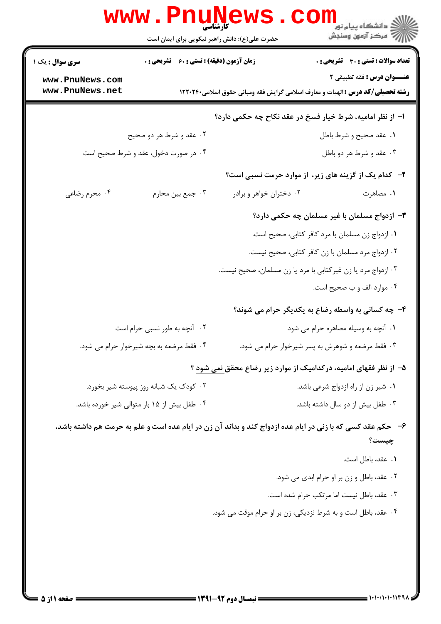|                                    | www.PnuNews                                        |                                                              | ڪ دانشڪاه پيا <sub>م</sub> نور<br><mark>ر</mark> 7 مرڪز آزمون وسنڊش                                                         |
|------------------------------------|----------------------------------------------------|--------------------------------------------------------------|-----------------------------------------------------------------------------------------------------------------------------|
|                                    | حضرت علی(ع): دانش راهبر نیکویی برای ایمان است      |                                                              |                                                                                                                             |
| <b>سری سوال :</b> یک ۱             | <b>زمان آزمون (دقیقه) : تستی : 60 ٪ تشریحی : 0</b> |                                                              | <b>تعداد سوالات : تستی : 30 ٪ تشریحی : 0</b>                                                                                |
| www.PnuNews.com<br>www.PnuNews.net |                                                    |                                                              | <b>عنـــوان درس :</b> فقه تطبيقي ٢<br><b>رشته تحصیلی/کد درس :</b> الهیات و معارف اسلامی گرایش فقه ومبانی حقوق اسلامی۱۲۲۰۲۴۰ |
|                                    |                                                    |                                                              | ا– از نظر امامیه، شرط خیار فسخ در عقد نکاح چه حکمی دارد؟                                                                    |
|                                    | ۲. عقد و شرط هر دو صحیح                            |                                                              | ۰۱ عقد صحيح و شرط باطل                                                                                                      |
|                                    | ۰۴ در صورت دخول، عقد و شرط صحیح است                |                                                              | ۰۳ عقد و شرط هر دو باطل                                                                                                     |
|                                    |                                                    |                                                              | ۲- کدام یک از گزینه های زیر، از موارد حرمت نسبی است؟                                                                        |
| ۰۴ محرم رضاعی                      | ۰۳ جمع بين محارم                                   | ۰۲ دختران خواهر و برادر                                      | ۰۱ مصاهرت                                                                                                                   |
|                                    |                                                    |                                                              | ۳– ازدواج مسلمان با غیر مسلمان چه حکمی دارد؟                                                                                |
|                                    |                                                    |                                                              | ١. ازدواج زن مسلمان با مرد كافر كتابي، صحيح است.                                                                            |
|                                    |                                                    |                                                              | ۰۲ ازدواج مرد مسلمان با زن کافر کتابی، صحیح نیست.                                                                           |
|                                    |                                                    | ۰۳ ازدواج مرد یا زن غیرکتابی با مرد یا زن مسلمان، صحیح نیست. |                                                                                                                             |
|                                    |                                                    |                                                              | ۰۴ موارد الف و ب صحیح است.                                                                                                  |
|                                    |                                                    |                                                              | ۴- چه کسانی به واسطه رضاع به یکدیگر حرام می شوند؟                                                                           |
|                                    | ۰۲ آنچه به طور نسبی حرام است                       |                                                              | ٠١ آنچه به وسیله مصاهره حرام می شود                                                                                         |
|                                    | ۰۴ فقط مرضعه به بچه شیرخوار حرام می شود.           |                                                              | ۰۳ فقط مرضعه و شوهرش به پسر شیرخوار حرام می شود.                                                                            |
|                                    |                                                    |                                                              | ۵– از نظر فقهای امامیه، درکدامیک از موارد زیر رضاع محقق نمی شود ؟                                                           |
|                                    | ۰۲ کودک یک شبانه روز پیوسته شیر بخورد.             |                                                              | ٠١ شير زن از راه ازدواج شرعي باشد.                                                                                          |
|                                    | ۰۴ طفل بیش از ۱۵ بار متوالی شیر خورده باشد.        |                                                              | ۰۳ طفل بیش از دو سال داشته باشد.                                                                                            |
|                                    |                                                    |                                                              | ۶- حکم عقد کسی که با زنی در ایام عده ازدواج کند و بداند آن زن در ایام عده است و علم به حرمت هم داشته باشد،                  |
|                                    |                                                    |                                                              | چیست؟                                                                                                                       |
|                                    |                                                    |                                                              | ٠١ عقد، باطل است.                                                                                                           |
|                                    |                                                    |                                                              | ٠٢ عقد، باطل و زن بر او حرام ابدي مي شود.                                                                                   |
|                                    |                                                    |                                                              | ۰۳ عقد، باطل نیست اما مرتکب حرام شده است.                                                                                   |
|                                    |                                                    | ۰۴ عقد، باطل است و به شرط نزدیکی، زن بر او حرام موقت می شود. |                                                                                                                             |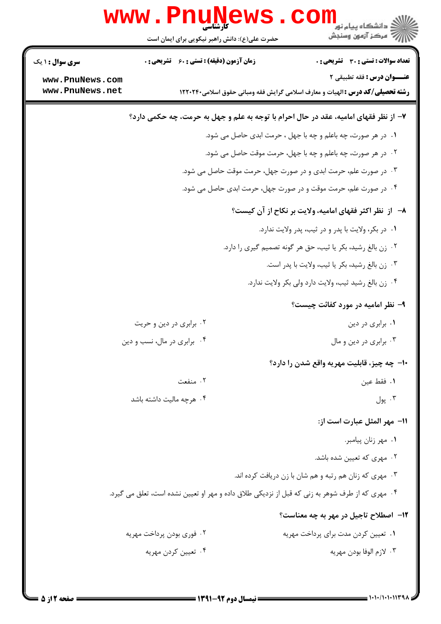| ر دانشڪاه پيام نور<br>ا∛ مرڪز آزمون وسنڊش                                                                                                                          | <b>www.PnuNe</b><br><b>کارشناسی</b><br>حضرت علی(ع): دانش راهبر نیکویی برای ایمان است            |                                                              |
|--------------------------------------------------------------------------------------------------------------------------------------------------------------------|-------------------------------------------------------------------------------------------------|--------------------------------------------------------------|
| <b>تعداد سوالات : تستی : 30 ٪ تشریحی : 0</b><br>عنــوان درس: فقه تطبيقي ٢<br><b>رشته تحصیلی/کد درس :</b> الهیات و معارف اسلامی گرایش فقه ومبانی حقوق اسلامی۱۲۲۰۲۴۰ | <b>زمان آزمون (دقیقه) : تستی : 60 ٪ تشریحی : 0</b>                                              | <b>سری سوال : ۱ یک</b><br>www.PnuNews.com<br>www.PnuNews.net |
| ۷- از نظر فقهای امامیه، عقد در حال احرام با توجه به علم و جهل به حرمت، چه حکمی دارد؟                                                                               |                                                                                                 |                                                              |
| ۰۱ در هر صورت، چه باعلم و چه با جهل ، حرمت ابدی حاصل می شود.                                                                                                       |                                                                                                 |                                                              |
| ۰۲ در هر صورت، چه باعلم و چه با جهل، حرمت موقت حاصل می شود.                                                                                                        |                                                                                                 |                                                              |
| ۰۳ در صورت علم، حرمت ابدی و در صورت جهل، حرمت موقت حاصل می شود.                                                                                                    |                                                                                                 |                                                              |
| ۰۴ در صورت علم، حرمت موقت و در صورت جهل، حرمت ابدی حاصل می شود.                                                                                                    |                                                                                                 |                                                              |
| ۸–۔ از نظر اکثر فقهای امامیه، ولایت بر نکاح از آن کیست؟                                                                                                            |                                                                                                 |                                                              |
| ٠١ در بكر، ولايت با پدر و در ثيب، پدر ولايت ندارد.                                                                                                                 |                                                                                                 |                                                              |
| ۰۲ زن بالغ رشید، بکر یا ثیب، حق هر گونه تصمیم گیری را دارد.                                                                                                        |                                                                                                 |                                                              |
| ٠٣ زن بالغ رشيد، بكر يا ثيب، ولايت با پدر است.                                                                                                                     |                                                                                                 |                                                              |
| ۰۴ زن بالغ رشید ثیب، ولایت دارد ولی بکر ولایت ندارد.                                                                                                               |                                                                                                 |                                                              |
| ۹- نظر امامیه در مورد کفائت چیست؟                                                                                                                                  |                                                                                                 |                                                              |
| ۰۱ برابری در دین                                                                                                                                                   | ۰۲ برابری در دین و حریت                                                                         |                                                              |
| ۰۳ برابری در دین و مال                                                                                                                                             | ۰۴ برابری در مال، نسب و دین                                                                     |                                                              |
| ۱۰– چه چیز، قابلیت مهریه واقع شدن را دارد؟                                                                                                                         |                                                                                                 |                                                              |
| ٠١ فقط عين                                                                                                                                                         | ۰۲ منفعت                                                                                        |                                                              |
| ۰۳ پول                                                                                                                                                             | ۰۴ هرچه مالیت داشته باشد                                                                        |                                                              |
| ا1−  مهر المثل عبارت است از:                                                                                                                                       |                                                                                                 |                                                              |
| ٠١ مهر زنان پيامبر.                                                                                                                                                |                                                                                                 |                                                              |
| ۰۲ مهری که تعیین شده باشد.                                                                                                                                         |                                                                                                 |                                                              |
| ۰۳ مهري كه زنان هم رتبه و هم شان با زن دريافت كرده اند.                                                                                                            |                                                                                                 |                                                              |
|                                                                                                                                                                    | ۰۴ مهری که از طرف شوهر به زنی که قبل از نزدیکی طلاق داده و مهر او تعیین نشده است، تعلق می گیرد. |                                                              |
| <b>۱۲</b> - اصطلاح تاجیل در مهر به چه معناست؟                                                                                                                      |                                                                                                 |                                                              |
| ۰۱ تعیین کردن مدت برای پرداخت مهریه                                                                                                                                | ۰۲ فوري بودن پرداخت مهريه                                                                       |                                                              |
| ۰۳ لازم الوفا بودن مهريه                                                                                                                                           | ۰۴ تعیین کردن مهریه                                                                             |                                                              |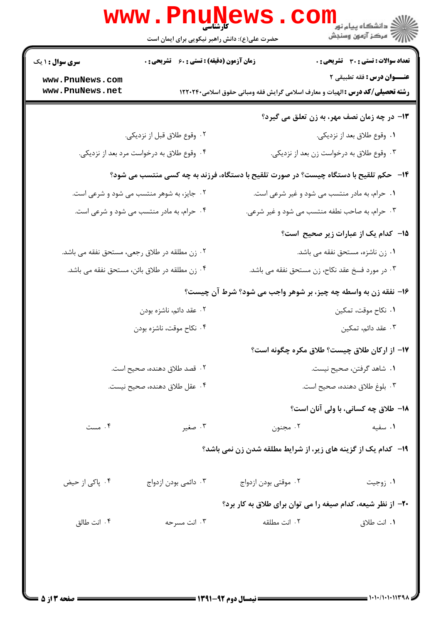| <b>سری سوال : ۱ یک</b>                        | زمان آزمون (دقیقه) : تستی : 60 ٪ تشریحی : 0 |                                                                                       | <b>تعداد سوالات : تستی : 30 ٪ تشریحی : 0</b>        |  |
|-----------------------------------------------|---------------------------------------------|---------------------------------------------------------------------------------------|-----------------------------------------------------|--|
| www.PnuNews.com<br>www.PnuNews.net            |                                             | <b>رشته تحصیلی/کد درس :</b> الهیات و معارف اسلامی گرایش فقه ومبانی حقوق اسلامی۱۲۲۰۲۴۰ | عنــوان درس: فقه تطبیقی ۲                           |  |
|                                               |                                             |                                                                                       | <b>۱۳</b> – در چه زمان نصف مهر، به زن تعلق می گیرد؟ |  |
|                                               | ۰۲ وقوع طلاق قبل از نزديكي.                 |                                                                                       | ۰۱ وقوع طلاق بعد از نزدیکی.                         |  |
|                                               | ۰۴ وقوع طلاق به درخواست مرد بعد از نزدیکی.  |                                                                                       | ۰۳ وقوع طلاق به درخواست زن بعد از نزدیکی.           |  |
|                                               |                                             | ۱۴- حکم تلقیح با دستگاه چیست؟ در صورت تلقیح با دستگاه، فرزند به چه کسی منتسب می شود؟  |                                                     |  |
|                                               | ۰۲ جایز، به شوهر منتسب می شود و شرعی است.   |                                                                                       | ٠١ حرام، به مادر منتسب مي شود و غير شرعي است.       |  |
|                                               | ۰۴ حرام، به مادر منتسب می شود و شرعی است.   |                                                                                       | ۰۳ حرام، به صاحب نطفه منتسب می شود و غیر شرعی.      |  |
|                                               |                                             |                                                                                       | ۱۵– کدام یک از عبارات زیر صحیح است؟                 |  |
| ۰۲ زن مطلقه در طلاق رجعی، مستحق نفقه می باشد. |                                             |                                                                                       | ٠١ زن ناشزه، مستحق نفقه مي باشد.                    |  |
| ۰۴ زن مطلقه در طلاق بائن، مستحق نفقه می باشد. |                                             |                                                                                       | ۰۳ در مورد فسخ عقد نکاح، زن مستحق نفقه می باشد.     |  |
|                                               |                                             | ۱۶- نفقه زن به واسطه چه چیز، بر شوهر واجب می شود؟ شرط آن چیست؟                        |                                                     |  |
|                                               | ۲. عقد دائم، ناشزه بودن                     |                                                                                       | ٠١. نكاح موقت، تمكين                                |  |
|                                               | ۰۴ نکاح موقت، ناشزه بودن                    |                                                                                       | ۰۳ عقد دائم، تمکین                                  |  |
|                                               |                                             |                                                                                       | ١٧- از اركان طلاق چيست؟ طلاق مكره چگونه است؟        |  |
|                                               | ۲ . قصد طلاق دهنده، صحیح است.               |                                                                                       | ٠١. شاهد گرفتن، صحيح نيست.                          |  |
|                                               | ۰۴ عقل طلاق دهنده، صحیح نیست.               |                                                                                       | ۰۳ بلوغ طلاق دهنده، صحيح است.                       |  |
|                                               |                                             |                                                                                       | <b>۱۸- طلاق چه کسانی، با ولی آنان است</b> ؟         |  |
| ۰۴ مست                                        | ۰۳ صغیر                                     | ۰۲ مجنون                                                                              | ۰۱ سفیه                                             |  |
|                                               |                                             | ۱۹- کدام یک از گزینه های زیر، از شرایط مطلقه شدن زن نمی باشد؟                         |                                                     |  |
| ۰۴ پاکی از حیض                                | ۰۳ دائمی بودن ازدواج                        | ۰۲ موقتی بودن ازدواج                                                                  | ۰۱ زوجیت                                            |  |
|                                               |                                             | ۲۰- از نظر شیعه، کدام صیغه را می توان برای طلاق به کار برد؟                           |                                                     |  |
| ۰۴ انت طالق                                   | ۰۳ انت مسرحه                                | ٠٢ انت مطلقه                                                                          | ۰۱ انت طلاق                                         |  |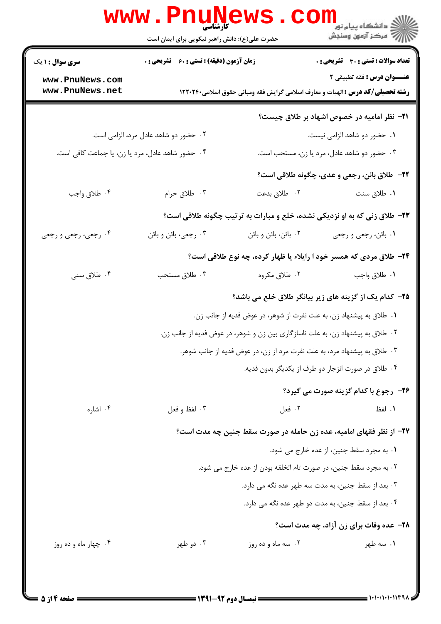|                                                  | <b>www.PnuNews</b>                                                             |                                                                     |                                                                                                                    |
|--------------------------------------------------|--------------------------------------------------------------------------------|---------------------------------------------------------------------|--------------------------------------------------------------------------------------------------------------------|
|                                                  | حضرت علی(ع): دانش راهبر نیکویی برای ایمان است                                  |                                                                     | اران دانشگاه پيام نور<br>ا∭ مرکز آزمون وسنجش                                                                       |
| <b>سری سوال : ۱ یک</b>                           | زمان آزمون (دقیقه) : تستی : 60 ٪ تشریحی : 0                                    |                                                                     | تعداد سوالات : تستى : 30 - تشريحي : 0                                                                              |
| www.PnuNews.com<br>www.PnuNews.net               |                                                                                |                                                                     | عنــوان درس: فقه تطبيقي ٢<br><b>رشته تحصیلی/کد درس :</b> الهیات و معارف اسلامی گرایش فقه ومبانی حقوق اسلامی۱۲۲۰۲۴۰ |
|                                                  |                                                                                |                                                                     | <b>۲۱</b> – نظر امامیه در خصوص اشهاد بر طلاق چیست؟                                                                 |
|                                                  | ۰۲ حضور دو شاهد عادل مرد، الزامی است.                                          |                                                                     | ۰۱ حضور دو شاهد الزامی نیست.                                                                                       |
| ۰۴ حضور شاهد عادل، مرد یا زن، یا جماعت کافی است. |                                                                                |                                                                     | ۰۳ حضور دو شاهد عادل، مرد یا زن، مستحب است.                                                                        |
|                                                  |                                                                                |                                                                     | ٢٢- طلاق بائن، رجعي و عدي، چگونه طلاقي است؟                                                                        |
| ۰۴ طلاق واجب                                     | ۰۳ طلاق حرام                                                                   | ٢. طلاق بدعت                                                        | ٠١ طلاق سنت                                                                                                        |
|                                                  |                                                                                |                                                                     | ۲۳- طلاق زنی که به او نزدیکی نشده، خلع و مبارات به ترتیب چگونه طلاقی است؟                                          |
| ۰۴ رجعی، رجعی و رجعی                             | ۰۳ رجعي، بائن و بائن                                                           | ۰۲ بائن، بائن و بائن                                                | ۱. بائن، رجعي و رجعي                                                                                               |
|                                                  |                                                                                |                                                                     | ۲۴- طلاق مردی که همسر خود ا رایلاء یا ظهار کرده، چه نوع طلاقی است؟                                                 |
| ۰۴ طلاق سنی                                      | ۰۳ طلاق مستحب                                                                  | ۰۲ طلاق مکروه                                                       | ٠١ طلاق واجب                                                                                                       |
|                                                  |                                                                                |                                                                     | ۲۵– کدام یک از گزینه های زیر بیانگر طلاق خلع می باشد؟                                                              |
|                                                  |                                                                                | ۰۱ طلاق به پیشنهاد زن، به علت نفرت از شوهر، در عوض فدیه از جانب زن. |                                                                                                                    |
|                                                  | ۰۲ طلاق به پیشنهاد زن، به علت ناسازگاری بین زن و شوهر، در عوض فدیه از جانب زن. |                                                                     |                                                                                                                    |
|                                                  | ۰۳ طلاق به پیشنهاد مرد، به علت نفرت مرد از زن، در عوض فدیه از جانب شوهر.       |                                                                     |                                                                                                                    |
|                                                  |                                                                                |                                                                     | ۰۴ طلاق در صورت انزجار دو طرف از یکدیگر بدون فدیه.                                                                 |
|                                                  |                                                                                |                                                                     | <b>۲۶- رجوع با کدام گزینه صورت می گیرد؟</b>                                                                        |
| ۰۴ اشاره                                         | ۰۳ لفظ و فعل                                                                   | ۰۲ فعل                                                              | ١. لفظ                                                                                                             |
|                                                  |                                                                                |                                                                     | ۲۷– از نظر فقهای امامیه، عده زن حامله در صورت سقط جنین چه مدت است؟                                                 |
|                                                  |                                                                                |                                                                     | ٠١. به مجرد سقط جنين، از عده خارج مي شود.                                                                          |
|                                                  |                                                                                | ۰۲ به مجرد سقط جنین، در صورت تام الخلقه بودن از عده خارج می شود.    |                                                                                                                    |
|                                                  | ۰۳ بعد از سقط جنین، به مدت سه طهر عده نگه می دارد.                             |                                                                     |                                                                                                                    |
|                                                  |                                                                                |                                                                     | ۰۴ بعد از سقط جنین، به مدت دو طهر عده نگه می دارد.                                                                 |
|                                                  |                                                                                |                                                                     | <b>۲۸</b> - عده وفات برای زن آزاد، چه مدت است؟                                                                     |
| ۰۴ چهار ماه و ده روز                             | ۰۳ دو طهر                                                                      | ۰۲ سه ماه و ده روز                                                  | ۰۱ سه طهر                                                                                                          |
|                                                  |                                                                                |                                                                     |                                                                                                                    |